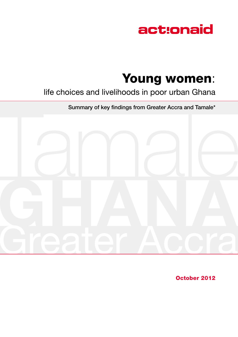

# **Young women**:

### life choices and livelihoods in poor urban Ghana

**Summary of key findings from Greater Accra and Tamale\*** 



**October 2012**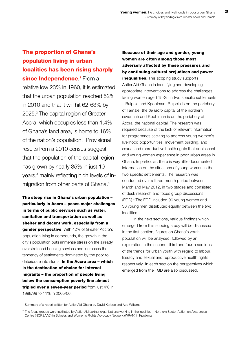### The proportion of Ghana's population living in urban localities has been rising sharply since Independence.<sup>1</sup> From a

relative low 23% in 1960, it is estimated that the urban population reached 52% in 2010 and that it will hit 62-63% by 2025.<sup>2</sup> The capital region of Greater Accra, which occupies less than 1.4% of Ghana's land area, is home to 16% of the nation's population. $3$  Provisional results from a 2010 census suggest that the population of the capital region has grown by nearly 35% in just 10 years,<sup>4</sup> mainly reflecting high levels of inmigration from other parts of Ghana.<sup>5</sup>

The steep rise in Ghana's urban population – particularly in Accra – poses major challenges in terms of public services such as water, sanitation and transportation as well as shelter and decent work, especially from a gender perspective. With 42% of Greater Accra's population living in compounds, the growth in the city's population puts immense stress on the already overstretched housing services and increases the tendency of settlements dominated by the poor to deteriorate into slums. In the Accra area - which is the destination of choice for internal migrants – the proportion of people living below the consumption poverty line almost tripled over a seven-year period from just 4% in 1998/99 to 11% in 2005/06.

Because of their age and gender, young women are often among those most adversely affected by these pressures and by continuing cultural prejudices and power inequalities. This scoping study supports ActionAid Ghana in identifying and developing appropriate interventions to address the challenges facing women aged 15-25 in two specific settlements – Bulpela and Kpobiman. Bulpela is on the periphery of Tamale, the *de facto* capital of the northern savannah and Kpobiman is on the periphery of Accra, the national capital. The research was required because of the lack of relevant information for programmes seeking to address young women's livelihood opportunities, movement building, and sexual and reproductive health rights that adolescent and young women experience in poor urban areas in Ghana. In particular, there is very little documented information on the situations of young women in the two specific settlements. The research was conducted over a three-month period between March and May 2012, in two stages and consisted of desk research and focus group discussions  $(FGD)^*$  The FGD included 90 young women and 30 young men distributed equally between the two localities.

In the next sections, various findings which emerged from this scoping study will be discussed. In the first section, figures on Ghana's youth population will be analysed, followed by an exploration in the second, third and fourth sections of the trends for urban youth with regard to labour, literacy and sexual and reproductive health rights respectively. In each section the perspectives which emerged from the FGD are also discussed.

\* Summary of a report written for ActionAid Ghana by David Korboe and Aba Williams

<sup>‡</sup> The focus groups were facilitated by ActionAid partner organisations working in the localities – Northern Sector Action on Awareness Centre (NORSAAC) in Bulpela, and Women's Rights Advocacy Network (WRAN) in Kpobiman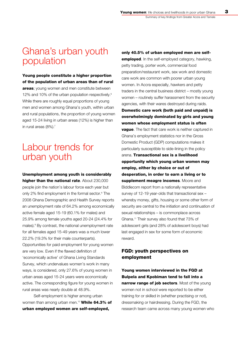# Ghana's urban youth population

#### Young people constitute a higher proportion of the population of urban areas than of rural

areas; young women and men constitute between 12% and 10% of the urban population respectively.<sup>6</sup> While there are roughly equal proportions of young men and women among Ghana's youth, within urban and rural populations, the proportion of young women aged 15-24 living in urban areas (12%) is higher than in rural areas (8%).<sup>7</sup>

# Labour trends for urban youth

### Unemployment among youth is considerably

higher than the national rate. About 230,000 people join the nation's labour force each year but only 2% find employment in the formal sector.<sup>8</sup> The 2008 Ghana Demographic and Health Survey reports an unemployment rate of 64.2% among economically active female aged 15-19 (60.1% for males) and 25.9% among female youths aged 20-24 (24.4% for males).<sup>9</sup> By contrast, the national unemployment rate for all females aged 15-49 years was a much lower 22.2% (19.3% for their male counterparts). Opportunities for paid employment for young women are very low. Even if the flawed definition of 'economically active' of Ghana Living Standards Survey, which undervalues women's work in many ways, is considered, only 27.6% of young women in urban areas aged 15-24 years were economically active. The corresponding figure for young women in rural areas was nearly double at 48.9%.

Self-employment is higher among urban women than among urban men.<sup>10</sup> While 64.3% of urban employed women are self-employed,

only 40.5% of urban employed men are selfemployed. In the self-employed category, hawking, petty trading, porter work, commercial food preparation/restaurant work, sex work and domestic care work are common with poorer urban young women. In Accra especially, hawkers and petty traders in the central business district – mostly young women – routinely suffer harassment from the security agencies, with their wares destroyed during raids. Domestic care work (both paid and unpaid) is overwhelmingly dominated by girls and young women whose employment status is often **vague**. The fact that care work is neither captured in Ghana's employment statistics nor in the Gross Domestic Product (GDP) computations makes it particularly susceptible to side-lining in the policy arena. Transactional sex is a livelihood opportunity which young urban women may employ, either by choice or out of desperation, in order to earn a living or to supplement meagre incomes. Moore and Biddlecom report from a nationally representative survey of 12-19 year-olds that transactional sex – whereby money, gifts, housing or some other form of security are central to the initiation and continuation of sexual relationships – is commonplace across Ghana.<sup>11</sup> Their survey also found that 73% of adolescent girls (and 28% of adolescent boys) had last engaged in sex for some form of economic reward.

### FGD: youth perspectives on employment

Young women interviewed in the FGD at Bulpela and Kpobiman tend to fall into a narrow range of job sectors. Most of the young women not in school were reported to be either training for or skilled in (whether practising or not), dressmaking or hairdressing. During the FGD, the research team came across many young women who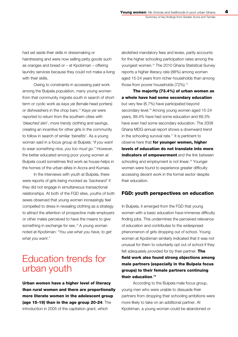had set aside their skills in dressmaking or hairdressing and were now selling petty goods such as oranges and bread or – at Kpobiman – offering laundry services because they could not make a living with their skills.

Owing to constraints in accessing paid work among the Bulpela population, many young women from that community migrate south in search of shortterm or cyclic work as *kaya yei* (female head porters) or dishwashers in the chop bars.<sup>12</sup> *Kaya yei* were reported to return from the southern cities with '*bleached skin*', more trendy clothing and savings, creating an incentive for other girls in the community to follow in search of similar '*benefits*'. As a young woman said in a focus group at Bulpela: "*if you want to wear something nice, you too must go*." However, the better educated among poor young women at Bulpela could sometimes find work as house-helps in the homes of the urban elites in Accra and Kumasi.

In the interviews with youth at Bulpela, there were reports of girls being mocked as '*backward*' if they did not engage in simultaneous transactional relationships. At both of the FGD sites, youths of both sexes observed that young women increasingly feel compelled to dress in revealing clothing as a strategy to attract the attention of prospective male employers or other males perceived to have the means to give something in exchange for sex.<sup>13</sup> A young woman noted at Kpobiman: "*You use what you have, to get what you want*."

# Education trends for urban youth

Urban women have a higher level of literacy than rural women and there are proportionally more literate women in the adolescent group (age 15-19) than in the age group 20-24. The introduction in 2005 of the capitation grant, which

abolished mandatory fees and levies, partly accounts for the higher schooling participation rates among the youngest women.<sup>14</sup> The 2010 Ghana Statistical Survey reports a higher literacy rate (88%) among women aged 15-24 years from richer households than among those from poorer households (72%).<sup>15</sup>

The majority (73.4%) of urban women as a whole have had some secondary education but very few (6.7%) have participated beyond secondary level.<sup>16</sup> Among young women aged 15-24 years, 89.4% have had some education and 69.3% have even had some secondary education. The 2008 Ghana MDG annual report shows a downward trend in the schooling survival rate.<sup>17</sup> It is pertinent to observe here that for younger women, higher levels of education do not translate into more indicators of empowerment and the link between schooling and employment is not linear.<sup>18</sup> Younger women were found to experience greater difficulty accessing decent work in the formal sector despite their education.

#### FGD: youth perspectives on education

In Bulpela, it emerged from the FGD that young women with a basic education have immense difficulty finding jobs. This undermines the perceived relevance of education and contributes to the widespread phenomenon of girls dropping out of school. Young women at Kpobiman similarly indicated that it was not unusual for them to voluntarily opt out of school if they felt adequately provided for by their partner. The field work also found strong objections among male partners (especially in the Bulpela focus groups) to their female partners continuing their education. 19

According to the Bulpela male focus group, young men who were unable to dissuade their partners from dropping their schooling ambitions were more likely to take on an additional partner. At Kpobiman, a young woman could be abandoned or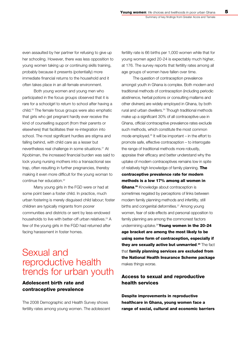even assaulted by her partner for refusing to give up her schooling. However, there was less opposition to young women taking up or continuing skills training, probably because it presents (potentially) more immediate financial returns to the household and it often takes place in an all-female environment.

Both young women and young men who participated in the focus groups observed that it is rare for a schoolgirl to return to school after having a child.<sup>20</sup> The female focus groups were also emphatic that girls who get pregnant hardly ever receive the kind of counselling support (from their parents or elsewhere) that facilitates their re-integration into school. The most significant hurdles are stigma and falling behind, with child care as a lesser but nevertheless real challenge in some situations.<sup>21</sup> At Kpobiman, the increased financial burden was said to lock young nursing mothers into a transactional sex trap, often resulting in further pregnancies, thereby making it even more difficult for the young woman to continue her education.<sup>22</sup>

Many young girls in the FGD were or had at some point been a foster child. In practice, much urban fostering is merely disguised child labour; foster children are typically migrants from poorer communities and districts or sent by less-endowed households to live with better-off urban relatives.<sup>23</sup> A few of the young girls in the FGD had returned after facing harassment in foster homes.

## Sexual and reproductive health trends for urban youth

### Adolescent birth rate and contraceptive prevalence

The 2008 Demographic and Health Survey shows fertility rates among young women. The adolescent fertility rate is 66 births per 1,000 women while that for young women aged 20-24 is expectably much higher, at 176. The survey reports that fertility rates among all age groups of women have fallen over time.

The question of contraception prevalence amongst youth in Ghana is complex. Both modern and traditional methods of contraception (including periodic abstinence, herbal potions or consulting mallams and other diviners) are widely employed in Ghana, by both rural and urban dwellers.<sup>24</sup> Though traditional methods make up a significant 30% of all contraceptive use in Ghana, official contraceptive prevalence rates exclude such methods, which constitute the most common mode employed. $25$  It will be important – in the effort to promote safe, effective contraception – to interrogate the range of traditional methods more robustly, appraise their efficacy and better understand why the uptake of modern contraceptives remains low in spite of relatively high knowledge of family planning. The contraceptive prevalence rate for modern

methods is a low 17% among all women in

Ghana.<sup>26</sup> Knowledge about contraception is sometimes negated by perceptions of links between modern family planning methods and infertility, still births and congenital deformities.<sup>27</sup> Among young women, fear of side effects and personal opposition to family planning are among the commonest factors undermining uptake.<sup>28</sup> Young women in the 20-24 age bracket are among the most likely to be using some form of contraception, especially if they are sexually active but unmarried.<sup>29</sup> The fact that family planning services are excluded from the National Health Insurance Scheme package makes things worse.

### Access to sexual and reproductive health services

Despite improvements in reproductive healthcare in Ghana, young women face a range of social, cultural and economic barriers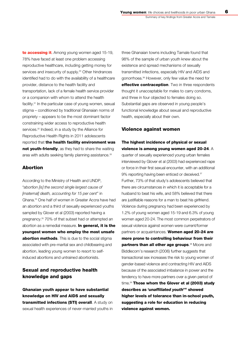to **accessing it**. Among young women aged 15-19, 78% have faced at least one problem accessing reproductive healthcare, including getting money for services and insecurity of supply.<sup>30</sup> Other hindrances identified had to do with the availability of a healthcare provider, distance to the health facility and transportation, lack of a female health service provider or a companion with whom to attend the health facility.<sup>31</sup> In the particular case of young women, sexual stigma – conditioned by traditional Ghanaian norms of propriety – appears to be the most dominant factor constraining wider access to reproductive health services.<sup>32</sup> Indeed, in a study by the Alliance for Reproductive Health Rights in 2011 adolescents reported that the health facility environment was not youth-friendly, as they had to share the waiting area with adults seeking family planning assistance.<sup>33</sup>

### Abortion

According to the Ministry of Health and UNDP, "*abortion [is] the second single largest cause of [maternal] death, accounting for 15 per cent*" in Ghana.<sup>34</sup> One half of women in Greater Accra have had an abortion and a third of sexually experienced youths sampled by Glover et al (2003) reported having a pregnancy.<sup>35</sup> 70% of that subset had or attempted an abortion as a remedial measure. In general, it is the youngest women who employ the most unsafe abortion methods. This is due to the social stigma associated with pre-marital sex and childbearing and abortion, leading young women to resort to selfinduced abortions and untrained abortionists.

### Sexual and reproductive health knowledge and gaps

Ghanaian youth appear to have substantial knowledge on HIV and AIDS and sexually transmitted infections (STI) overall. A study on sexual health experiences of never-married youths in three Ghanaian towns including Tamale found that 98% of the sample of urban youth knew about the existence and spread mechanisms of sexually transmitted infections, especially HIV and AIDS and gonorrhoea.<sup>36</sup> However, only few value the need for effective contraception. Two in three respondents thought it unacceptable for males to carry condoms, and three in four objected to females doing so. Substantial gaps are observed in young people's functional knowledge about sexual and reproductive health, especially about their own.

#### Violence against women

### The highest incidence of physical or sexual violence is among young women aged 20-24. A

quarter of sexually experienced young urban females interviewed by Glover et al (2003) had experienced rape or force in their first sexual encounter, with an additional 9% reporting having been enticed or deceived.<sup>37</sup> Further, 73% of that study's adolescents believed that there are circumstances in which it is acceptable for a husband to beat his wife, and 58% believed that there are justifiable reasons for a man to beat his girlfriend. Violence during pregnancy had been experienced by 1.2% of young women aged 15-19 and 6.3% of young women aged 20-24. The most common perpetrators of sexual violence against women were current/former partners or acquaintances. Women aged 20-24 are more prone to controlling behaviour from their partners than all other age groups.<sup>38</sup> Moore and Biddlecom's research (2006) further suggests that transactional sex increases the risk to young women of gender-based violence and contracting HIV and AIDS because of the associated imbalance in power and the tendency to have more partners over a given period of time. $39$  Those whom the Glover et al (2003) study describes as '*unaffiliated youth*'<sup>40</sup> showed higher levels of tolerance than in-school youth, suggesting a role for education in reducing violence against women.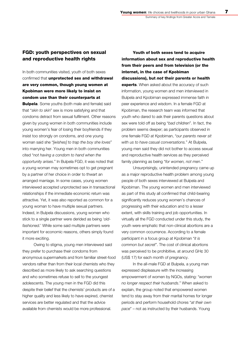### FGD: youth perspectives on sexual and reproductive health rights

In both communities visited, youth of both sexes confirmed that unprotected sex and withdrawal are very common, though young women at Kpobiman were more likely to insist on condom use than their counterparts at **Bulpela.** Some youths (both male and female) said that "*skin to skin*" sex is more satisfying and that condoms detract from sexual fulfilment. Other reasons given by young women in both communities include young women's fear of losing their boyfriends if they insist too strongly on condoms, and one young woman said she "*[wishes] to trap the boy she loves*" into marrying her. Young men in both communities cited "*not having a condom to hand when the opportunity arises*." In Bulpela FGD, it was noted that a young woman may sometimes opt to get pregnant by a partner of her choice in order to thwart an arranged marriage. In some cases, young women interviewed accepted unprotected sex in transactional relationships if the immediate economic return was attractive. Yet, it was also reported as common for a young woman to have multiple sexual partners. Indeed, in Bulpela discussions, young women who stick to a single partner were derided as being '*oldfashioned*.' While some said multiple partners were important for economic reasons, others simply found it more exciting.

Owing to stigma, young men interviewed said they prefer to purchase their condoms from anonymous supermarkets and from familiar street-food vendors rather than from their local chemists who they described as more likely to ask searching questions and who sometimes refuse to sell to the youngest adolescents. The young men in the FGD did this despite their belief that the chemists' products are of a higher quality and less likely to have expired, chemist services are better regulated and that the advice available from chemists would be more professional.

Youth of both sexes tend to acquire information about sex and reproductive health from their peers and from television (or the internet, in the case of Kpobiman discussions), but *not* their parents or health experts. When asked about the accuracy of such information, young women and men interviewed in Bulpela and Kpobiman expressed immense faith in peer experience and wisdom. In a female FGD at Kpobiman, the research team was informed that youth who dared to ask their parents questions about sex were told off as being "*bad children*". In fact, the problem seems deeper; as participants observed in one female FGD at Kpobiman, "*our parents never sit with us to have casual conversations.*" At Bulpela, young men said they did not bother to access sexual and reproductive health services as they perceived family planning as being "*for women, not men*."

Unsurprisingly, unintended pregnancy came up as a major reproductive health problem among young people of both sexes interviewed at Bulpela and Kpobiman. The young women and men interviewed as part of this study all confirmed that child-bearing significantly reduces young women's chances of progressing with their education and to a lesser extent, with skills training and job opportunities. In virtually all the FGD conducted under this study, the youth were emphatic that non-clinical abortions are a very common occurrence. According to a female participant in a focus group at Kpobiman "*it is common but secret*". The cost of clinical abortions was perceived to be prohibitive, at around GH¢ 30 (US\$ 17) for each month of pregnancy.

In the all-male FGD at Bulpela, a young man expressed displeasure with the increasing empowerment of women by NGOs, stating: "*women no longer respect their husbands*." When asked to explain, the group noted that empowered women tend to stay away from their marital homes for longer periods and perform household chores "*at their own pace*" – not as instructed by their husbands. Young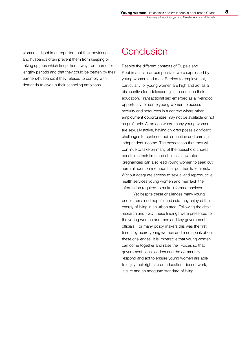women at Kpobiman reported that their boyfriends and husbands often prevent them from keeping or taking up jobs which keep them away from home for lengthy periods and that they could be beaten by their partners/husbands if they refused to comply with demands to give up their schooling ambitions.

# **Conclusion**

Despite the different contexts of Bulpela and Kpobiman, similar perspectives were expressed by young women and men. Barriers to employment, particularly for young women are high and act as a disincentive for adolescent girls to continue their education. Transactional sex emerged as a livelihood opportunity for some young women to access security and resources in a context where other employment opportunities may not be available or not as profitable. At an age where many young women are sexually active, having children poses significant challenges to continue their education and earn an independent income. The expectation that they will continue to take on many of the household chores constrains their time and choices. Unwanted pregnancies can also lead young women to seek out harmful abortion methods that put their lives at risk. Without adequate access to sexual and reproductive health services young women and men lack the information required to make informed choices.

Yet despite these challenges many young people remained hopeful and said they enjoyed the energy of living in an urban area. Following the desk research and FGD, these findings were presented to the young women and men and key government officials. For many policy makers this was the first time they heard young women and men speak about these challenges. It is imperative that young women can come together and raise their voices so that government, local leaders and the community respond and act to ensure young women are able to enjoy their rights to an education, decent work, leisure and an adequate standard of living.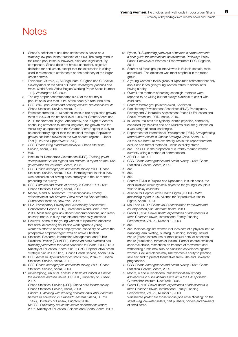# **Notes**

- Ghana's definition of an urban settlement is based on a relatively low population threshold of 5,000. The rising trend in the urban population is, however, clear and significant. By comparison, Ghana does not have a consistent, objective definition for peri-urban, except that the expression is widely used in reference to settlements on the periphery of the larger urban centres.
- 2 Farvacque-Vitkovic, C, M Raghunath, C Eghoff and C Boakye. *Development of the cities of Ghana: challenges, priorities and tools*. World Bank (Africa Region Working Paper Series Number 110), Washington DC, 2008.
- 3 The city proper accommodates 9.5% of the country's population in less than 0.1% of the country's total land area.
- 4 GSS. *2010 population and housing census: provisional results*. Ghana Statistical Service, Accra, 2011.
- 5 Estimates from the 2010 national census cite population growth rates of 2.4% at the national level, 2.8% for Greater Accra and 2.9% for Northern Region. Anecdotally, and in light of Accra's continuing attraction to internal migrants, the growth rate for Accra city (as opposed to the Greater Accra Region) is likely to be considerably higher than the national average. Population growth has been slowest in the two poorest regions – Upper East (1.1% and Upper West (1.5%).
- 6 GSS. *Ghana living standards survey 5*. Ghana Statistical Service, Accra, 2006.
- 7 *Ibid*.
- 8 Institute for Democratic Governance (IDEG). *Tackling youth unemployment in the regions and districts: a report on the 2005 governance issues forum*, Accra, 2005.
- 9 GSS. *Ghana demographic and health survey*, 2008. Ghana Statistical Service, Accra, 2009. Unemployment in this survey was defined as not having been employed in the 12 months preceding the survey.
- 10 GSS. *Patterns and trends of poverty in Ghana 1991-2006*. Ghana Statistical Service, Accra, 2007.
- 11 Moore, A and A Biddlecom. *Transactional sex among adolescents in sub-Saharan Africa amid the HIV epidemic*. Guttmacher Institute, New York, 2006.
- 12 PDA. Participatory Poverty and Vulnerability Assessment, Consolidated Report. DFID, Unicef and World Bank, Accra, 2011. Most such girls lack decent accommodations, and sleep on shop fronts, in busy markets and other risky locations
- 13 However, some of the young women at Kpobiman observed that sensual dressing could also work against a young woman's effort to access employment, especially so where the prospective employer/agent was an active Christian.
- 14 Statistics, Research, Information Management and Public Relations Division (SRIMPRD). *Report on basic statistics and planning parameters for basic education in Ghana*, 2009/2010. Ministry of Education, Accra, 2010.; GoG. Reproductive health strategic plan (2007-2011). Ghana Health Service, Accra, 2007.
- 15 GSS. *Accra multiple indicator cluster survey, 2010-11*. Ghana Statistical Service, Accra, 2011.
- 16 GSS. *Ghana demographic and health survey, 2008*. Ghana Statistical Service, Accra, 2009.
- 17 Akyeampong, AK et al. *Access to basic education in Ghana: the evidence and the issues*. CREATE, University of Sussex, 2007.

Ghana Statistical Service (GSS). *Ghana child labour survey*. Ghana Statistical Service, Accra, 2003.

Hashim, I. *Working with working children: child labour and the barriers to education in rural north-eastern Ghana*, D. Phil. Thesis, University of Sussex, Brighton, 2004.

MoESS. *Preliminary education sector performance report, 2007*. Ministry of Education, Science and Sports, Accra, 2007.

- 18 Eyben, R. *Supporting pathways of women's empowerment: a brief guide for international development*. Pathways Policy Paper. Pathways of Women's Empowerment RPC, Brighton, 2011.
- 19 Source: all focus groups interviewed in Bulpela (female, male and mixed). The objection was most emphatic in the mixed group.
- 20 A young women's focus group at Kpobiman estimated that only about one in ten girls/young women return to school after having a baby.
- 21 Overall, the mothers of nursing schoolgirl-mothers were reported to be willing but not always available to assist with child care.
- 22 Source: female groups interviewed, Kpobiman
- 23 Participatory Development Associates (PDA). Participatory Poverty and Vulnerability Assessment Phase III: Education and Social Protection. DFID, Accra, 2010.
- 24 In Ghana, mallams are typically Islamic psychics, commonly consulted (by Muslims and non-Muslims alike) for guidance on a vast range of social challenges.
- 25 Department for International Development (DFID). *Strengthening reproductive health in Ghana: Strategic Case*. Accra, 2011. As this is a literature review, the figures in this report therefore exclude non-formal methods, unless explicitly stated.
- 26 *Ibid*. The CPR is the proportion of currently married women currently using a method of contraception.
- 27 ARHR 2010; 2011.
- 28 GSS. *Ghana demographic and health survey, 2008*. Ghana Statistical Service, Accra, 2009.
- 29 *Ibid*.
- 30 *Ibid*.
- 31 *Ibid*.
- 32 Source: FGDs in Bulpela and Kpobiman. In such cases, the older relatives would typically object to the younger couple's wish to delay childbirth.
- 33 Alliance for Reproductive Health Rights (ARHR). *Health monitoring report 2009*. Alliance for Reproductive Health Rights, Accra, 2010.
- 34 MoH and UNDP. *Ghana MDG acceleration framework and country action plan: maternal health*. 2011.
- 35 Glover E, *et al*. *Sexual health experiences of adolescents in three Ghanaian towns*. International Family Planning Perspectives, Vol. 29, Number 1, 2003.
- 36 *Ibid*.
- 37 *Ibid*. Violence against women includes acts of a physical nature (slapping, arm twisting, pushing, punching, kicking), sexual nature (forced intercourse or other sexual acts) or emotional nature (humiliation, threats or insults). Partner control exhibited as verbal abuse, restrictions on freedom of movement and withholding funds may also be classified as violence against women. Sexual violence may limit women's ability to practice safe sex and to protect themselves from STIs and unwanted pregnancies.
- 38 GSS. *Ghana demographic and health survey, 2008*. Ghana Statistical Service, Accra, 2009.
- 39 Moore, A and A Biddlecom. *Transactional sex among adolescents in sub-Saharan Africa amid the HIV epidemic*. Guttmacher Institute, New York, 2006.
- 40 Glover E, *et al*. *Sexual health experiences of adolescents in three Ghanaian towns*. International Family Planning Perspectives, Vol. 29, Number 1, 2003 "*unaffiliated youth*" are those whose jobs entail 'floating' on the street – eg ice-water sellers, cart pushers, porters and hawkers of small items.